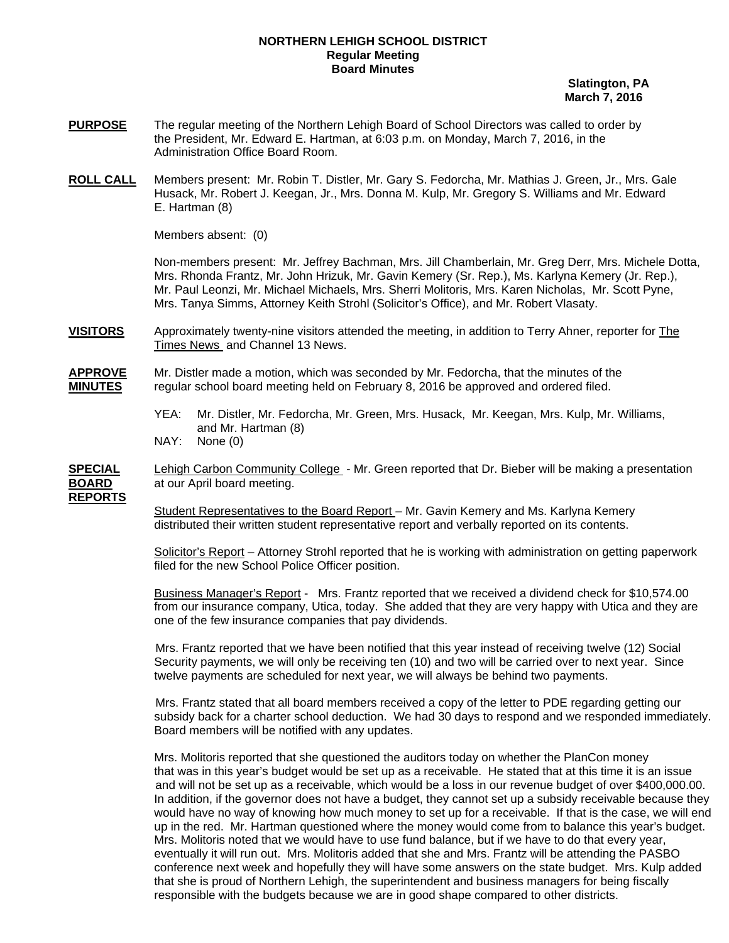## **NORTHERN LEHIGH SCHOOL DISTRICT Regular Meeting Board Minutes**

 **Slatington, PA March 7, 2016** 

- **PURPOSE** The regular meeting of the Northern Lehigh Board of School Directors was called to order by the President, Mr. Edward E. Hartman, at 6:03 p.m. on Monday, March 7, 2016, in the Administration Office Board Room.
- **ROLL CALL** Members present: Mr. Robin T. Distler, Mr. Gary S. Fedorcha, Mr. Mathias J. Green, Jr., Mrs. Gale Husack, Mr. Robert J. Keegan, Jr., Mrs. Donna M. Kulp, Mr. Gregory S. Williams and Mr. Edward E. Hartman (8)

Members absent: (0)

Non-members present: Mr. Jeffrey Bachman, Mrs. Jill Chamberlain, Mr. Greg Derr, Mrs. Michele Dotta, Mrs. Rhonda Frantz, Mr. John Hrizuk, Mr. Gavin Kemery (Sr. Rep.), Ms. Karlyna Kemery (Jr. Rep.), Mr. Paul Leonzi, Mr. Michael Michaels, Mrs. Sherri Molitoris, Mrs. Karen Nicholas, Mr. Scott Pyne, Mrs. Tanya Simms, Attorney Keith Strohl (Solicitor's Office), and Mr. Robert Vlasaty.

- **VISITORS** Approximately twenty-nine visitors attended the meeting, in addition to Terry Ahner, reporter for The Times News and Channel 13 News.
- **APPROVE** Mr. Distler made a motion, which was seconded by Mr. Fedorcha, that the minutes of the **MINUTES** regular school board meeting held on February 8, 2016 be approved and ordered filed.
	- YEA: Mr. Distler, Mr. Fedorcha, Mr. Green, Mrs. Husack, Mr. Keegan, Mrs. Kulp, Mr. Williams, and Mr. Hartman (8)
	- NAY: None (0)

**SPECIAL** Lehigh Carbon Community College - Mr. Green reported that Dr. Bieber will be making a presentation **BOARD** at our April board meeting. **REPORTS**

> Student Representatives to the Board Report – Mr. Gavin Kemery and Ms. Karlyna Kemery distributed their written student representative report and verbally reported on its contents.

 Solicitor's Report – Attorney Strohl reported that he is working with administration on getting paperwork filed for the new School Police Officer position.

 Business Manager's Report - Mrs. Frantz reported that we received a dividend check for \$10,574.00 from our insurance company, Utica, today. She added that they are very happy with Utica and they are one of the few insurance companies that pay dividends.

 Mrs. Frantz reported that we have been notified that this year instead of receiving twelve (12) Social Security payments, we will only be receiving ten (10) and two will be carried over to next year. Since twelve payments are scheduled for next year, we will always be behind two payments.

 Mrs. Frantz stated that all board members received a copy of the letter to PDE regarding getting our subsidy back for a charter school deduction. We had 30 days to respond and we responded immediately. Board members will be notified with any updates.

 Mrs. Molitoris reported that she questioned the auditors today on whether the PlanCon money that was in this year's budget would be set up as a receivable. He stated that at this time it is an issue and will not be set up as a receivable, which would be a loss in our revenue budget of over \$400,000.00. In addition, if the governor does not have a budget, they cannot set up a subsidy receivable because they would have no way of knowing how much money to set up for a receivable. If that is the case, we will end up in the red. Mr. Hartman questioned where the money would come from to balance this year's budget. Mrs. Molitoris noted that we would have to use fund balance, but if we have to do that every year, eventually it will run out. Mrs. Molitoris added that she and Mrs. Frantz will be attending the PASBO conference next week and hopefully they will have some answers on the state budget. Mrs. Kulp added that she is proud of Northern Lehigh, the superintendent and business managers for being fiscally responsible with the budgets because we are in good shape compared to other districts.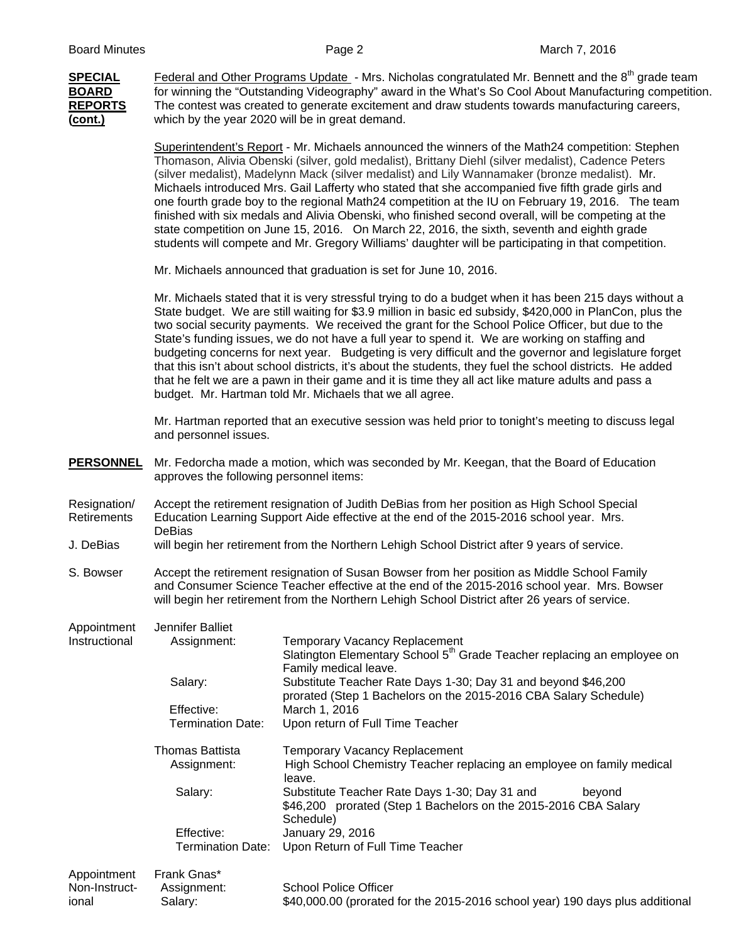**SPECIAL** Federal and Other Programs Update - Mrs. Nicholas congratulated Mr. Bennett and the 8<sup>th</sup> grade team **BOARD** for winning the "Outstanding Videography" award in the What's So Cool About Manufacturing competition. **REPORTS** The contest was created to generate excitement and draw students towards manufacturing careers, **(cont.)** which by the year 2020 will be in great demand. Superintendent's Report - Mr. Michaels announced the winners of the Math24 competition: Stephen

Thomason, Alivia Obenski (silver, gold medalist), Brittany Diehl (silver medalist), Cadence Peters (silver medalist), Madelynn Mack (silver medalist) and Lily Wannamaker (bronze medalist). Mr. Michaels introduced Mrs. Gail Lafferty who stated that she accompanied five fifth grade girls and one fourth grade boy to the regional Math24 competition at the IU on February 19, 2016. The team finished with six medals and Alivia Obenski, who finished second overall, will be competing at the state competition on June 15, 2016. On March 22, 2016, the sixth, seventh and eighth grade students will compete and Mr. Gregory Williams' daughter will be participating in that competition.

Mr. Michaels announced that graduation is set for June 10, 2016.

 Mr. Michaels stated that it is very stressful trying to do a budget when it has been 215 days without a State budget. We are still waiting for \$3.9 million in basic ed subsidy, \$420,000 in PlanCon, plus the two social security payments. We received the grant for the School Police Officer, but due to the State's funding issues, we do not have a full year to spend it. We are working on staffing and budgeting concerns for next year. Budgeting is very difficult and the governor and legislature forget that this isn't about school districts, it's about the students, they fuel the school districts. He added that he felt we are a pawn in their game and it is time they all act like mature adults and pass a budget. Mr. Hartman told Mr. Michaels that we all agree.

 Mr. Hartman reported that an executive session was held prior to tonight's meeting to discuss legal and personnel issues.

- **PERSONNEL** Mr. Fedorcha made a motion, which was seconded by Mr. Keegan, that the Board of Education approves the following personnel items:
- Resignation/ Accept the retirement resignation of Judith DeBias from her position as High School Special<br>Retirements Education Learning Support Aide effective at the end of the 2015-2016 school vear. Mrs. Education Learning Support Aide effective at the end of the 2015-2016 school year. Mrs. DeBias
- J. DeBias will begin her retirement from the Northern Lehigh School District after 9 years of service.
- S. Bowser Accept the retirement resignation of Susan Bowser from her position as Middle School Family and Consumer Science Teacher effective at the end of the 2015-2016 school year. Mrs. Bowser will begin her retirement from the Northern Lehigh School District after 26 years of service.

| Appointment<br>Instructional | Jennifer Balliet<br>Assignment: | <b>Temporary Vacancy Replacement</b><br>Slatington Elementary School 5 <sup>th</sup> Grade Teacher replacing an employee on<br>Family medical leave. |
|------------------------------|---------------------------------|------------------------------------------------------------------------------------------------------------------------------------------------------|
|                              | Salary:                         | Substitute Teacher Rate Days 1-30; Day 31 and beyond \$46,200<br>prorated (Step 1 Bachelors on the 2015-2016 CBA Salary Schedule)                    |
|                              | Effective:                      | March 1, 2016                                                                                                                                        |
|                              | <b>Termination Date:</b>        | Upon return of Full Time Teacher                                                                                                                     |
|                              | Thomas Battista<br>Assignment:  | <b>Temporary Vacancy Replacement</b><br>High School Chemistry Teacher replacing an employee on family medical<br>leave.                              |
|                              | Salary:                         | Substitute Teacher Rate Days 1-30; Day 31 and<br>beyond<br>\$46,200 prorated (Step 1 Bachelors on the 2015-2016 CBA Salary<br>Schedule)              |
|                              | Effective:                      | January 29, 2016                                                                                                                                     |
|                              | Termination Date:               | Upon Return of Full Time Teacher                                                                                                                     |
| Appointment                  | Frank Gnas*                     |                                                                                                                                                      |
| Non-Instruct-                | Assignment:                     | <b>School Police Officer</b>                                                                                                                         |

ional Salary: \$40,000.00 (prorated for the 2015-2016 school year) 190 days plus additional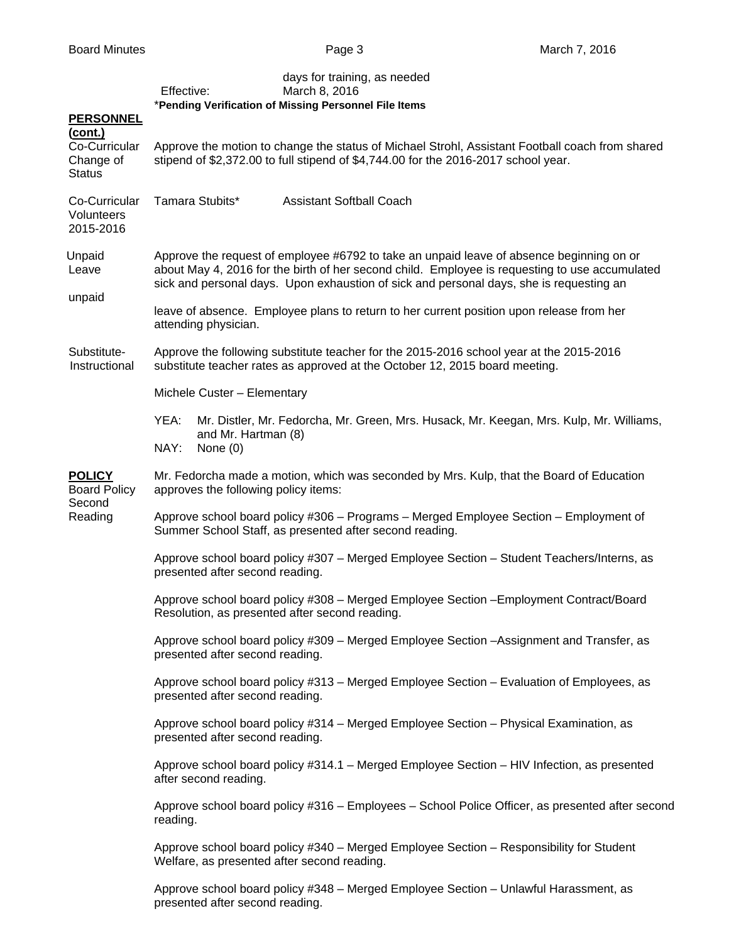|                                                           | Effective:<br>*Pending Verification of Missing Personnel File Items                                                                                                                                                                                                                   | days for training, as needed<br>March 8, 2016                                                                                                                                         |  |  |  |
|-----------------------------------------------------------|---------------------------------------------------------------------------------------------------------------------------------------------------------------------------------------------------------------------------------------------------------------------------------------|---------------------------------------------------------------------------------------------------------------------------------------------------------------------------------------|--|--|--|
| <b>PERSONNEL</b><br>(cont.)                               |                                                                                                                                                                                                                                                                                       |                                                                                                                                                                                       |  |  |  |
| Co-Curricular<br>Change of<br><b>Status</b>               |                                                                                                                                                                                                                                                                                       | Approve the motion to change the status of Michael Strohl, Assistant Football coach from shared<br>stipend of \$2,372.00 to full stipend of \$4,744.00 for the 2016-2017 school year. |  |  |  |
| Co-Curricular<br>Volunteers<br>2015-2016                  | Tamara Stubits*                                                                                                                                                                                                                                                                       | <b>Assistant Softball Coach</b>                                                                                                                                                       |  |  |  |
| Unpaid<br>Leave<br>unpaid                                 | Approve the request of employee #6792 to take an unpaid leave of absence beginning on or<br>about May 4, 2016 for the birth of her second child. Employee is requesting to use accumulated<br>sick and personal days. Upon exhaustion of sick and personal days, she is requesting an |                                                                                                                                                                                       |  |  |  |
|                                                           | leave of absence. Employee plans to return to her current position upon release from her<br>attending physician.                                                                                                                                                                      |                                                                                                                                                                                       |  |  |  |
| Substitute-<br>Instructional                              | Approve the following substitute teacher for the 2015-2016 school year at the 2015-2016<br>substitute teacher rates as approved at the October 12, 2015 board meeting.                                                                                                                |                                                                                                                                                                                       |  |  |  |
|                                                           | Michele Custer - Elementary                                                                                                                                                                                                                                                           |                                                                                                                                                                                       |  |  |  |
|                                                           | YEA:<br>and Mr. Hartman (8)<br>NAY:<br>None (0)                                                                                                                                                                                                                                       | Mr. Distler, Mr. Fedorcha, Mr. Green, Mrs. Husack, Mr. Keegan, Mrs. Kulp, Mr. Williams,                                                                                               |  |  |  |
| <b>POLICY</b><br><b>Board Policy</b><br>Second<br>Reading | Mr. Fedorcha made a motion, which was seconded by Mrs. Kulp, that the Board of Education<br>approves the following policy items:                                                                                                                                                      |                                                                                                                                                                                       |  |  |  |
|                                                           | Approve school board policy #306 - Programs - Merged Employee Section - Employment of<br>Summer School Staff, as presented after second reading.                                                                                                                                      |                                                                                                                                                                                       |  |  |  |
|                                                           | Approve school board policy #307 - Merged Employee Section - Student Teachers/Interns, as<br>presented after second reading.                                                                                                                                                          |                                                                                                                                                                                       |  |  |  |
|                                                           | Resolution, as presented after second reading.                                                                                                                                                                                                                                        | Approve school board policy #308 - Merged Employee Section - Employment Contract/Board                                                                                                |  |  |  |
|                                                           | presented after second reading.                                                                                                                                                                                                                                                       | Approve school board policy #309 - Merged Employee Section -Assignment and Transfer, as                                                                                               |  |  |  |
|                                                           | presented after second reading.                                                                                                                                                                                                                                                       | Approve school board policy #313 - Merged Employee Section - Evaluation of Employees, as                                                                                              |  |  |  |
|                                                           | presented after second reading.                                                                                                                                                                                                                                                       | Approve school board policy #314 - Merged Employee Section - Physical Examination, as                                                                                                 |  |  |  |
|                                                           | Approve school board policy #314.1 - Merged Employee Section - HIV Infection, as presented<br>after second reading.                                                                                                                                                                   |                                                                                                                                                                                       |  |  |  |
|                                                           | Approve school board policy #316 - Employees - School Police Officer, as presented after second<br>reading.                                                                                                                                                                           |                                                                                                                                                                                       |  |  |  |
|                                                           | Welfare, as presented after second reading.                                                                                                                                                                                                                                           | Approve school board policy #340 - Merged Employee Section - Responsibility for Student                                                                                               |  |  |  |
|                                                           | presented after second reading.                                                                                                                                                                                                                                                       | Approve school board policy #348 - Merged Employee Section - Unlawful Harassment, as                                                                                                  |  |  |  |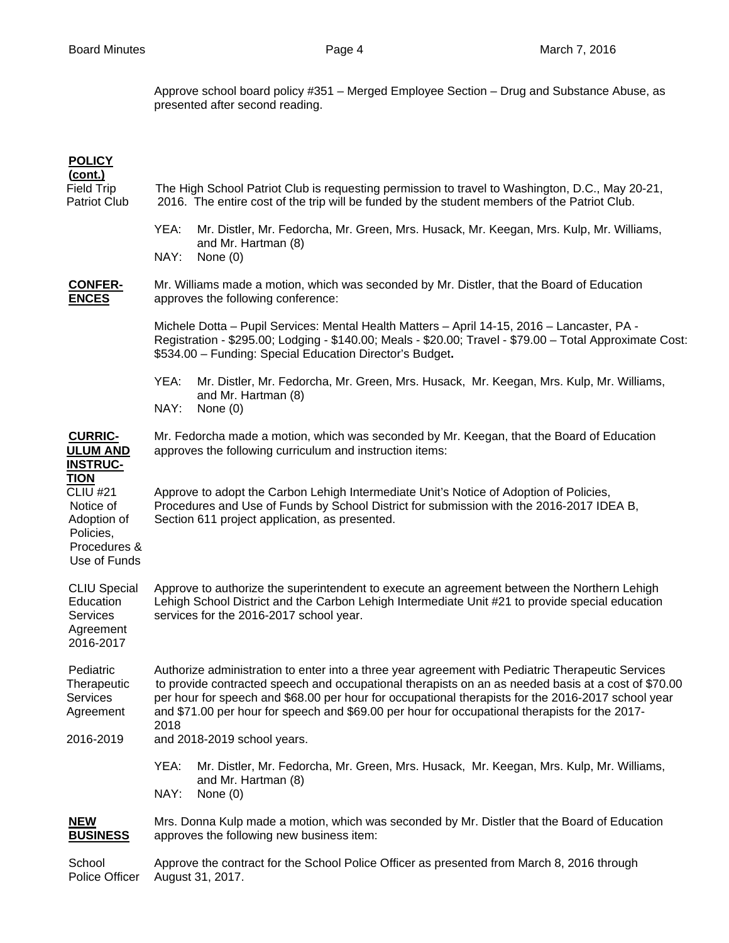Approve school board policy #351 – Merged Employee Section – Drug and Substance Abuse, as presented after second reading.

| <b>POLICY</b><br>(cont.)<br><b>Field Trip</b><br><b>Patriot Club</b>                                    | The High School Patriot Club is requesting permission to travel to Washington, D.C., May 20-21,<br>2016. The entire cost of the trip will be funded by the student members of the Patriot Club.                                                                                                                                                                                                                          |  |  |
|---------------------------------------------------------------------------------------------------------|--------------------------------------------------------------------------------------------------------------------------------------------------------------------------------------------------------------------------------------------------------------------------------------------------------------------------------------------------------------------------------------------------------------------------|--|--|
|                                                                                                         | YEA:<br>Mr. Distler, Mr. Fedorcha, Mr. Green, Mrs. Husack, Mr. Keegan, Mrs. Kulp, Mr. Williams,<br>and Mr. Hartman (8)<br>NAY:<br>None $(0)$                                                                                                                                                                                                                                                                             |  |  |
| <b>CONFER-</b><br><b>ENCES</b>                                                                          | Mr. Williams made a motion, which was seconded by Mr. Distler, that the Board of Education<br>approves the following conference:                                                                                                                                                                                                                                                                                         |  |  |
|                                                                                                         | Michele Dotta - Pupil Services: Mental Health Matters - April 14-15, 2016 - Lancaster, PA -<br>Registration - \$295.00; Lodging - \$140.00; Meals - \$20.00; Travel - \$79.00 - Total Approximate Cost:<br>\$534.00 - Funding: Special Education Director's Budget.                                                                                                                                                      |  |  |
|                                                                                                         | YEA:<br>Mr. Distler, Mr. Fedorcha, Mr. Green, Mrs. Husack, Mr. Keegan, Mrs. Kulp, Mr. Williams,<br>and Mr. Hartman (8)<br>NAY:<br>None $(0)$                                                                                                                                                                                                                                                                             |  |  |
| <b>CURRIC-</b><br><b>ULUM AND</b><br><b>INSTRUC-</b>                                                    | Mr. Fedorcha made a motion, which was seconded by Mr. Keegan, that the Board of Education<br>approves the following curriculum and instruction items:                                                                                                                                                                                                                                                                    |  |  |
| <b>TION</b><br><b>CLIU #21</b><br>Notice of<br>Adoption of<br>Policies,<br>Procedures &<br>Use of Funds | Approve to adopt the Carbon Lehigh Intermediate Unit's Notice of Adoption of Policies,<br>Procedures and Use of Funds by School District for submission with the 2016-2017 IDEA B,<br>Section 611 project application, as presented.                                                                                                                                                                                     |  |  |
| <b>CLIU Special</b><br>Education<br>Services<br>Agreement<br>2016-2017                                  | Approve to authorize the superintendent to execute an agreement between the Northern Lehigh<br>Lehigh School District and the Carbon Lehigh Intermediate Unit #21 to provide special education<br>services for the 2016-2017 school year.                                                                                                                                                                                |  |  |
| Pediatric<br>Therapeutic<br><b>Services</b><br>Agreement                                                | Authorize administration to enter into a three year agreement with Pediatric Therapeutic Services<br>to provide contracted speech and occupational therapists on an as needed basis at a cost of \$70.00<br>per hour for speech and \$68.00 per hour for occupational therapists for the 2016-2017 school year<br>and \$71.00 per hour for speech and \$69.00 per hour for occupational therapists for the 2017-<br>2018 |  |  |
| 2016-2019                                                                                               | and 2018-2019 school years.<br>YEA:<br>Mr. Distler, Mr. Fedorcha, Mr. Green, Mrs. Husack, Mr. Keegan, Mrs. Kulp, Mr. Williams,<br>and Mr. Hartman (8)<br>NAY:<br>None $(0)$                                                                                                                                                                                                                                              |  |  |
| <b>NEW</b><br><b>BUSINESS</b>                                                                           | Mrs. Donna Kulp made a motion, which was seconded by Mr. Distler that the Board of Education<br>approves the following new business item:                                                                                                                                                                                                                                                                                |  |  |
| School<br>Police Officer                                                                                | Approve the contract for the School Police Officer as presented from March 8, 2016 through<br>August 31, 2017.                                                                                                                                                                                                                                                                                                           |  |  |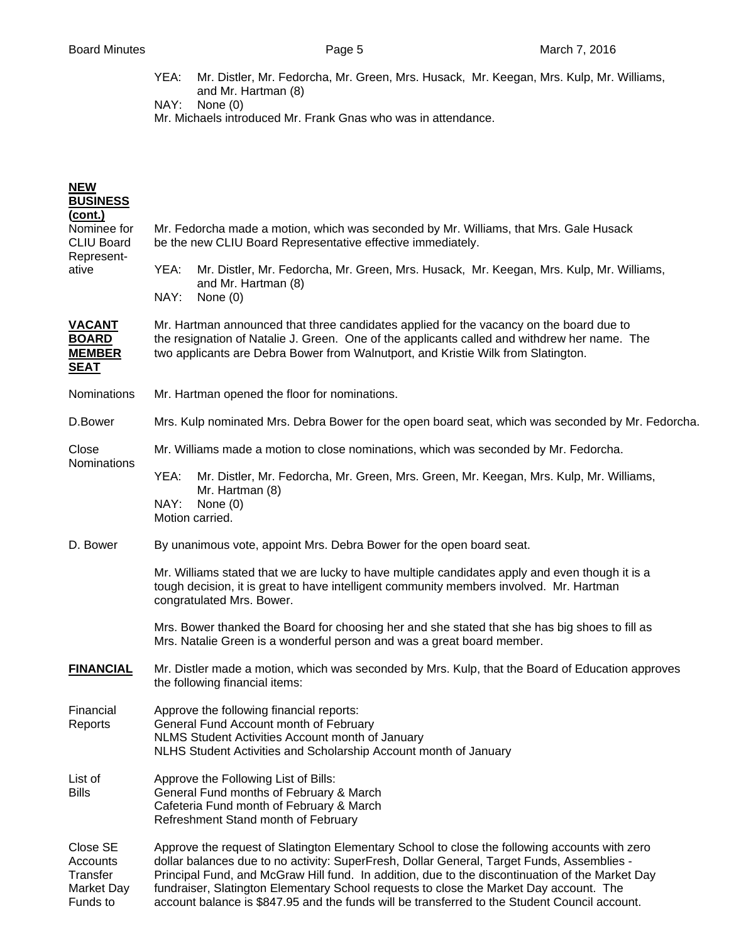YEA: Mr. Distler, Mr. Fedorcha, Mr. Green, Mrs. Husack, Mr. Keegan, Mrs. Kulp, Mr. Williams, and Mr. Hartman (8)

NAY: None (0)

Mr. Michaels introduced Mr. Frank Gnas who was in attendance.

| <b>NEW</b><br><b>BUSINESS</b>                                             |                                                                                                                                                                                                                                                                                                                                                                                                                                                                                           |  |  |  |
|---------------------------------------------------------------------------|-------------------------------------------------------------------------------------------------------------------------------------------------------------------------------------------------------------------------------------------------------------------------------------------------------------------------------------------------------------------------------------------------------------------------------------------------------------------------------------------|--|--|--|
| <u>(cont.)</u><br>Nominee for<br><b>CLIU Board</b><br>Represent-<br>ative | Mr. Fedorcha made a motion, which was seconded by Mr. Williams, that Mrs. Gale Husack<br>be the new CLIU Board Representative effective immediately.                                                                                                                                                                                                                                                                                                                                      |  |  |  |
|                                                                           | YEA:<br>Mr. Distler, Mr. Fedorcha, Mr. Green, Mrs. Husack, Mr. Keegan, Mrs. Kulp, Mr. Williams,<br>and Mr. Hartman (8)<br>NAY:<br>None $(0)$                                                                                                                                                                                                                                                                                                                                              |  |  |  |
| <b>VACANT</b><br><b>BOARD</b><br><b>MEMBER</b><br><b>SEAT</b>             | Mr. Hartman announced that three candidates applied for the vacancy on the board due to<br>the resignation of Natalie J. Green. One of the applicants called and withdrew her name. The<br>two applicants are Debra Bower from Walnutport, and Kristie Wilk from Slatington.                                                                                                                                                                                                              |  |  |  |
| <b>Nominations</b>                                                        | Mr. Hartman opened the floor for nominations.                                                                                                                                                                                                                                                                                                                                                                                                                                             |  |  |  |
| D.Bower                                                                   | Mrs. Kulp nominated Mrs. Debra Bower for the open board seat, which was seconded by Mr. Fedorcha.                                                                                                                                                                                                                                                                                                                                                                                         |  |  |  |
| Close<br>Nominations                                                      | Mr. Williams made a motion to close nominations, which was seconded by Mr. Fedorcha.                                                                                                                                                                                                                                                                                                                                                                                                      |  |  |  |
|                                                                           | YEA:<br>Mr. Distler, Mr. Fedorcha, Mr. Green, Mrs. Green, Mr. Keegan, Mrs. Kulp, Mr. Williams,<br>Mr. Hartman (8)                                                                                                                                                                                                                                                                                                                                                                         |  |  |  |
|                                                                           | NAY:<br>None $(0)$<br>Motion carried.                                                                                                                                                                                                                                                                                                                                                                                                                                                     |  |  |  |
| D. Bower                                                                  | By unanimous vote, appoint Mrs. Debra Bower for the open board seat.                                                                                                                                                                                                                                                                                                                                                                                                                      |  |  |  |
|                                                                           | Mr. Williams stated that we are lucky to have multiple candidates apply and even though it is a<br>tough decision, it is great to have intelligent community members involved. Mr. Hartman<br>congratulated Mrs. Bower.                                                                                                                                                                                                                                                                   |  |  |  |
|                                                                           | Mrs. Bower thanked the Board for choosing her and she stated that she has big shoes to fill as<br>Mrs. Natalie Green is a wonderful person and was a great board member.                                                                                                                                                                                                                                                                                                                  |  |  |  |
| <b>FINANCIAL</b>                                                          | Mr. Distler made a motion, which was seconded by Mrs. Kulp, that the Board of Education approves<br>the following financial items:                                                                                                                                                                                                                                                                                                                                                        |  |  |  |
| Financial<br>Reports                                                      | Approve the following financial reports:<br>General Fund Account month of February<br>NLMS Student Activities Account month of January<br>NLHS Student Activities and Scholarship Account month of January                                                                                                                                                                                                                                                                                |  |  |  |
| List of<br><b>Bills</b>                                                   | Approve the Following List of Bills:<br>General Fund months of February & March<br>Cafeteria Fund month of February & March<br>Refreshment Stand month of February                                                                                                                                                                                                                                                                                                                        |  |  |  |
| Close SE<br>Accounts<br>Transfer<br><b>Market Day</b><br>Funds to         | Approve the request of Slatington Elementary School to close the following accounts with zero<br>dollar balances due to no activity: SuperFresh, Dollar General, Target Funds, Assemblies -<br>Principal Fund, and McGraw Hill fund. In addition, due to the discontinuation of the Market Day<br>fundraiser, Slatington Elementary School requests to close the Market Day account. The<br>account balance is \$847.95 and the funds will be transferred to the Student Council account. |  |  |  |